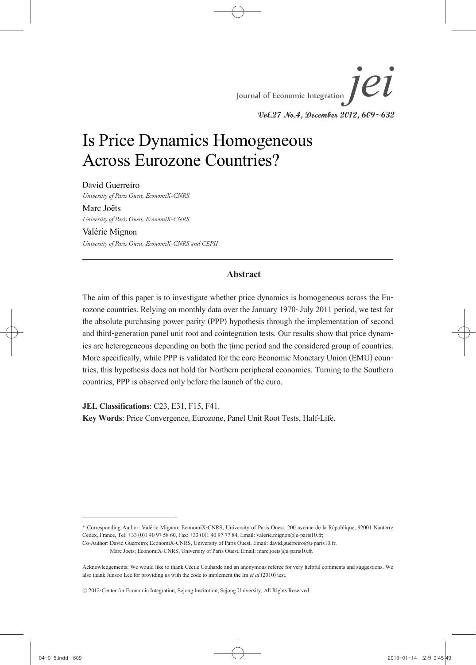# Is Price Dynamics Homogeneous Across Eurozone Countries?

David Guerreiro *University of Paris Ouest, EconomiX*-*CNRS*

Marc Joëts *University of Paris Ouest, EconomiX*-*CNRS*

Valérie Mignon *University of Paris Ouest, EconomiX*-*CNRS and CEPII*

### **Abstract**

The aim of this paper is to investigate whether price dynamics is homogeneous across the Eurozone countries. Relying on monthly data over the January 1970~July 2011 period, we test for the absolute purchasing power parity (PPP) hypothesis through the implementation of second and third-generation panel unit root and cointegration tests. Our results show that price dynam- ics are heterogeneous depending on both the time period and the considered group of countries. More specifically, while PPP is validated for the core Economic Monetary Union (EMU) countries, this hypothesis does not hold for Northern peripheral economies. Turning to the Southern countries, PPP is observed only before the launch of the euro.

**JEL Classifications**: C23, E31, F15, F41.

**Key Words**: Price Convergence, Eurozone, Panel Unit Root Tests, Half-Life.

<sup>\*</sup> Corresponding Author: Valérie Mignon; EconomiX-CNRS, University of Paris Ouest, 200 avenue de la République, 92001 Nanterre Cedex, France, Tel: +33 (0)1 40 97 58 60, Fax: +33 (0)1 40 97 77 84, Email: valerie.mignon@u-paris10.fr;

Co-Author: David Guerreiro; EconomiX-CNRS, University of Paris Ouest, Email: david.guerreiro@u-paris10.fr,

Marc Joets; EconomiX-CNRS, University of Paris Ouest, Email: marc.joets@u-paris10.fr.

Acknowledgements: We would like to thank Cécile Couharde and an anonymous referee for very helpful comments and suggestions. We also thank Junsoo Lee for providing us with the code to implement the Im *et al*.(2010) test.

<sup>ⓒ</sup> 2012-Center for Economic Integration, Sejong Institution, Sejong University, All Rights Reserved.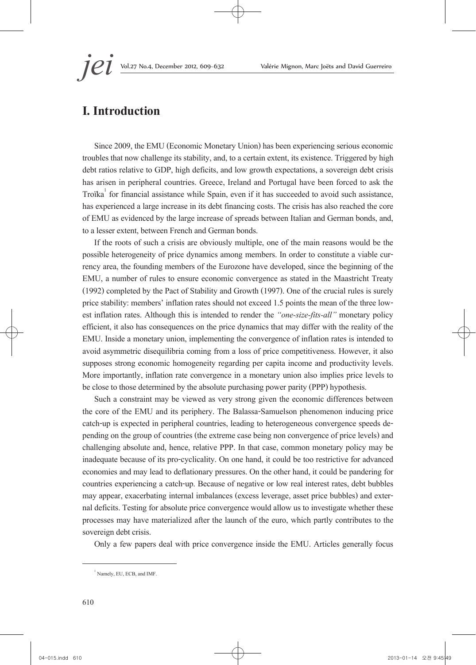*jei* Vol.27 No.4, December 2012, 609~632 Valérie Mignon, Marc Joëts and David Guerreiro

# **I. Introduction**

Since 2009, the EMU (Economic Monetary Union) has been experiencing serious economic troubles that now challenge its stability, and, to a certain extent, its existence. Triggered by high debt ratios relative to GDP, high deficits, and low growth expectations, a sovereign debt crisis has arisen in peripheral countries. Greece, Ireland and Portugal have been forced to ask the Troïka<sup>1</sup> for financial assistance while Spain, even if it has succeeded to avoid such assistance, has experienced a large increase in its debt financing costs. The crisis has also reached the core of EMU as evidenced by the large increase of spreads between Italian and German bonds, and, to a lesser extent, between French and German bonds.

If the roots of such a crisis are obviously multiple, one of the main reasons would be the possible heterogeneity of price dynamics among members. In order to constitute a viable cur- rency area, the founding members of the Eurozone have developed, since the beginning of the EMU, a number of rules to ensure economic convergence as stated in the Maastricht Treaty (1992) completed by the Pact of Stability and Growth (1997). One of the crucial rules is surely price stability: members' inflation rates should not exceed 1.5 points the mean of the three low- est inflation rates. Although this is intended to render the *"one-size-fits-all"* monetary policy efficient, it also has consequences on the price dynamics that may differ with the reality of the EMU. Inside a monetary union, implementing the convergence of inflation rates is intended to avoid asymmetric disequilibria coming from a loss of price competitiveness. However, it also supposes strong economic homogeneity regarding per capita income and productivity levels. More importantly, inflation rate convergence in a monetary union also implies price levels to be close to those determined by the absolute purchasing power parity (PPP) hypothesis.

Such a constraint may be viewed as very strong given the economic differences between the core of the EMU and its periphery. The Balassa-Samuelson phenomenon inducing price catch-up is expected in peripheral countries, leading to heterogeneous convergence speeds de- pending on the group of countries (the extreme case being non convergence of price levels) and challenging absolute and, hence, relative PPP. In that case, common monetary policy may be inadequate because of its pro-cyclicality. On one hand, it could be too restrictive for advanced economies and may lead to deflationary pressures. On the other hand, it could be pandering for countries experiencing a catch-up. Because of negative or low real interest rates, debt bubbles may appear, exacerbating internal imbalances (excess leverage, asset price bubbles) and exter- nal deficits. Testing for absolute price convergence would allow us to investigate whether these processes may have materialized after the launch of the euro, which partly contributes to the sovereign debt crisis.

Only a few papers deal with price convergence inside the EMU. Articles generally focus

<sup>1</sup> Namely, EU, ECB, and IMF.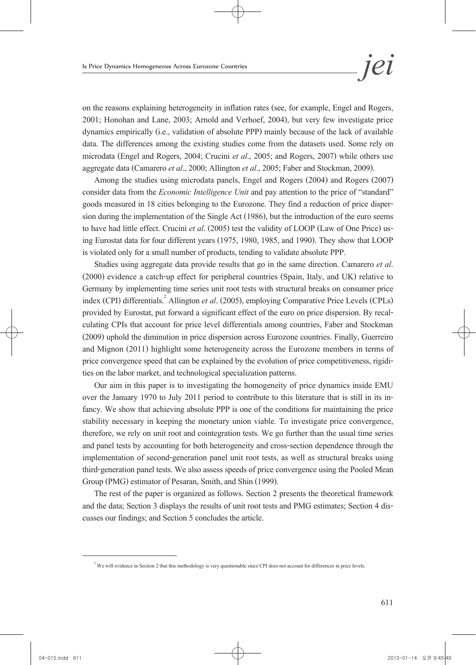on the reasons explaining heterogeneity in inflation rates (see, for example, Engel and Rogers, 2001; Honohan and Lane, 2003; Arnold and Verhoef, 2004), but very few investigate price dynamics empirically (i.e., validation of absolute PPP) mainly because of the lack of available data. The differences among the existing studies come from the datasets used. Some rely on microdata (Engel and Rogers, 2004; Crucini *et al*., 2005; and Rogers, 2007) while others use aggregate data (Camarero *et al*., 2000; Allington *et al*., 2005; Faber and Stockman, 2009).

Among the studies using microdata panels, Engel and Rogers (2004) and Rogers (2007) consider data from the *Economic Intelligence Unit* and pay attention to the price of "standard" goods measured in 18 cities belonging to the Eurozone. They find a reduction of price disper- sion during the implementation of the Single Act (1986), but the introduction of the euro seems to have had little effect. Crucini *et al.* (2005) test the validity of LOOP (Law of One Price) us-<br>ing Eurostat data for four different years (1975, 1980, 1985, and 1990). They show that LOOP is violated only for a small number of products, tending to validate absolute PPP.

Studies using aggregate data provide results that go in the same direction. Camarero *et al.* (2000) evidence a catch-up effect for peripheral countries (Spain, Italy, and UK) relative to Germany by implementing time series unit root tests with structural breaks on consumer price index (CPI) differentials.<sup>2</sup> Allington *et al.* (2005), employing Comparative Price Levels (CPLs) provided by Eurostat, put forward a significant effect of the euro on price dispersion. By recal- culating CPIs that account for price level differentials among countries, Faber and Stockman (2009) uphold the diminution in price dispersion across Eurozone countries. Finally, Guerreiro and Mignon (2011) highlight some heterogeneity across the Eurozone members in terms of price convergence speed that can be explained by the evolution of price competitiveness, rigidi- ties on the labor market, and technological specialization patterns.

Our aim in this paper is to investigating the homogeneity of price dynamics inside EMU over the January 1970 to July 2011 period to contribute to this literature that is still in its in- fancy. We show that achieving absolute PPP is one of the conditions for maintaining the price stability necessary in keeping the monetary union viable. To investigate price convergence, therefore, we rely on unit root and cointegration tests. We go further than the usual time series and panel tests by accounting for both heterogeneity and cross-section dependence through the implementation of second-generation panel unit root tests, as well as structural breaks using third-generation panel tests. We also assess speeds of price convergence using the Pooled Mean Group (PMG) estimator of Pesaran, Smith, and Shin (1999).

The rest of the paper is organized as follows. Section 2 presents the theoretical framework and the data; Section 3 displays the results of unit root tests and PMG estimates; Section 4 dis- cusses our findings; and Section 5 concludes the article.

 $2^2$  We will evidence in Section 2 that this methodology is very questionable since CPI does not account for differences in price levels.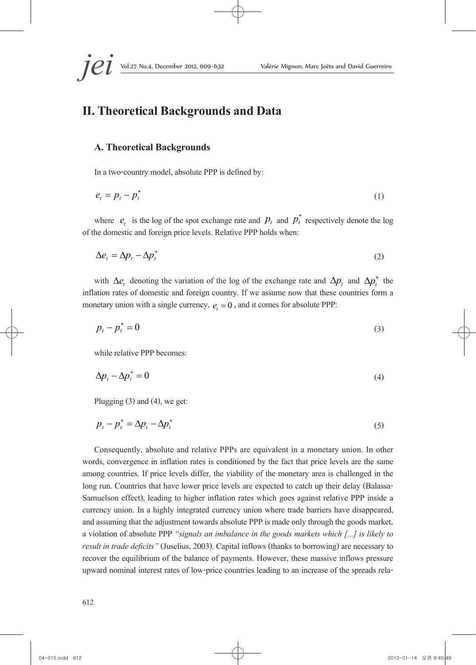# **II. Theoretical Backgrounds and Data**

#### **A. Theoretical Backgrounds**

In a two-country model, absolute PPP is defined by:

$$
e_t = p_t - p_t^* \tag{1}
$$

where  $e_t$  is the log of the spot exchange rate and  $p_t$  and  $p_t^*$  respectively denote the log of the domestic and foreign price levels. Relative PPP holds when:

$$
\Delta e_t = \Delta p_t - \Delta p_t^* \tag{2}
$$

with  $\Delta e$ , denoting the variation of the log of the exchange rate and  $\Delta p$ , and  $\Delta p^*$ , the inflation rates of domestic and foreign country. If we assume now that these countries form a monetary union with a single currency,  $e_t = 0$ , and it comes for absolute PPP:

$$
p_t - p_t^* = 0 \tag{3}
$$

while relative PPP becomes:

$$
\Delta p_t - \Delta p_t^* = 0 \tag{4}
$$

Plugging (3) and (4), we get:

$$
p_t - p_t^* = \Delta p_t - \Delta p_t^* \tag{5}
$$

Consequently, absolute and relative PPPs are equivalent in a monetary union. In other words, convergence in inflation rates is conditioned by the fact that price levels are the same among countries. If price levels differ, the viability of the monetary area is challenged in the long run. Countries that have lower price levels are expected to catch up their delay (Balassa-Samuelson effect), leading to higher inflation rates which goes against relative PPP inside a currency union. In a highly integrated currency union where trade barriers have disappeared, and assuming that the adjustment towards absolute PPP is made only through the goods market, a violation of absolute PPP *"signals an imbalance in the goods markets which [...] is likely to result in trade deficits"* (Juselius, 2003). Capital inflows (thanks to borrowing) are necessary to recover the equilibrium of the balance of payments. However, these massive inflows pressure upward nominal interest rates of low-price countries leading to an increase of the spreads rela-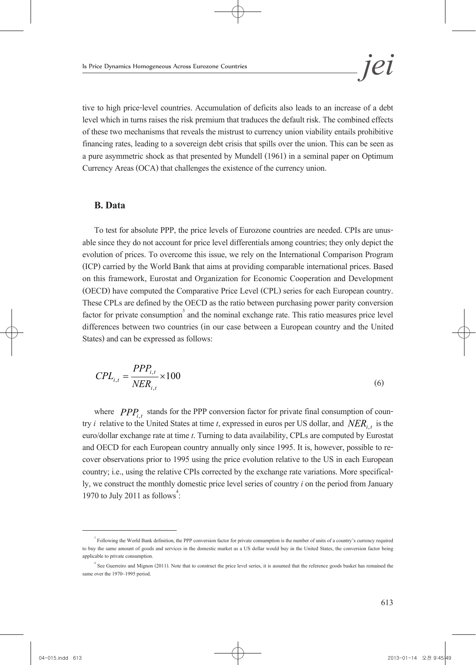tive to high price-level countries. Accumulation of deficits also leads to an increase of a debt level which in turns raises the risk premium that traduces the default risk. The combined effects of these two mechanisms that reveals the mistrust to currency union viability entails prohibitive financing rates, leading to a sovereign debt crisis that spills over the union. This can be seen as a pure asymmetric shock as that presented by Mundell (1961) in a seminal paper on Optimum Currency Areas (OCA) that challenges the existence of the currency union.

#### **B. Data**

To test for absolute PPP, the price levels of Eurozone countries are needed. CPIs are unus- able since they do not account for price level differentials among countries; they only depict the evolution of prices. To overcome this issue, we rely on the International Comparison Program (ICP) carried by the World Bank that aims at providing comparable international prices. Based on this framework, Eurostat and Organization for Economic Cooperation and Development (OECD) have computed the Comparative Price Level (CPL) series for each European country. These CPLs are defined by the OECD as the ratio between purchasing power parity conversion factor for private consumption<sup>3</sup> and the nominal exchange rate. This ratio measures price level differences between two countries (in our case between a European country and the United States) and can be expressed as follows:

$$
CPL_{i,t} = \frac{PPP_{i,t}}{NER_{i,t}} \times 100
$$
\n
$$
\tag{6}
$$

where  $PPP_{i,t}$  stands for the PPP conversion factor for private final consumption of country *i* relative to the United States at time *t*, expressed in euros per US dollar, and  $NER_i$ , is the euro/dollar exchange rate at time *t*. Turning to data availability, CPLs are computed by Eurostat and OECD for each European country annually only since 1995. It is, however, possible to re- cover observations prior to 1995 using the price evolution relative to the US in each European country; i.e., using the relative CPIs corrected by the exchange rate variations. More specifical- ly, we construct the monthly domestic price level series of country *i* on the period from January 1970 to July 2011 as follows: :<br>:

<sup>&</sup>lt;sup>3</sup> Following the World Bank definition, the PPP conversion factor for private consumption is the number of units of a country's currency required to buy the same amount of goods and services in the domestic market as a US dollar would buy in the United States, the conversion factor being applicable to private consumption.

<sup>4</sup> See Guerreiro and Mignon (2011). Note that to construct the price level series, it is assumed that the reference goods basket has remained the same over the 1970~1995 period.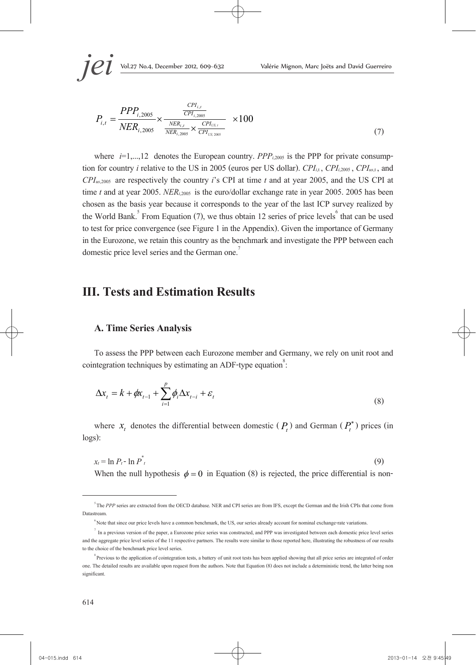$$
P_{i,t} = \frac{PPP_{i,2005}}{NER_{i,2005}} \times \frac{\frac{CP_{i,t}}{CP_{i,2005}}}{\frac{NER_{i,t}}{NER_{i,2005}} \times \frac{CP_{l_{US,t}}}{CP_{l_{US,2005}}}} \times 100
$$
\n(7)

where  $i=1,...,12$  denotes the European country. *PPP<sub>i,2005</sub>* is the PPP for private consumption for country *i* relative to the US in 2005 (euros per US dollar). *CPI<sub>i,1</sub>*, *CPI<sub>i,2005</sub>*, *CPI<sub>us,1</sub>*, and *CPIus*,2005 are respectively the country *i*'s CPI at time *t* and at year 2005, and the US CPI at time *t* and at year 2005. *NER<sub>i,2005</sub>* is the euro/dollar exchange rate in year 2005. 2005 has been chosen as the basis year because it corresponds to the year of the last ICP survey realized by the World Bank.<sup>5</sup> From Equation (7), we thus obtain 12 series of price levels<sup>6</sup> that can be used to test for price convergence (see Figure 1 in the Appendix). Given the importance of Germany in the Eurozone, we retain this country as the benchmark and investigate the PPP between each domestic price level series and the German one.<sup>7</sup>

# **III. Tests and Estimation Results**

#### **A. Time Series Analysis**

To assess the PPP between each Eurozone member and Germany, we rely on unit root and cointegration techniques by estimating an ADF-type equation $\degree$ : :

$$
\Delta x_t = k + \phi x_{t-1} + \sum_{i=1}^p \phi_i \Delta x_{t-i} + \varepsilon_t
$$
\n(8)

where  $x_t$  denotes the differential between domestic  $(P_t)$  and German  $(P_t^*)$  prices (in logs):

$$
x_t = \ln P_t - \ln P_t^* \tag{9}
$$

When the null hypothesis  $\phi = 0$  in Equation (8) is rejected, the price differential is non-

<sup>&</sup>lt;sup>5</sup> The *PPP* series are extracted from the OECD database. NER and CPI series are from IFS, except the German and the Irish CPIs that come from Datastream.

<sup>6</sup> Note that since our price levels have a common benchmark, the US, our series already account for nominal exchange-rate variations.

 $<sup>7</sup>$  In a previous version of the paper, a Eurozone price series was constructed, and PPP was investigated between each domestic price level series</sup> and the aggregate price level series of the 11 respective partners. The results were similar to those reported here, illustrating the robustness of our results to the choice of the benchmark price level series.

<sup>&</sup>lt;sup>8</sup> Previous to the application of cointegration tests, a battery of unit root tests has been applied showing that all price series are integrated of order one. The detailed results are available upon request from the authors. Note that Equation (8) does not include a deterministic trend, the latter being non significant.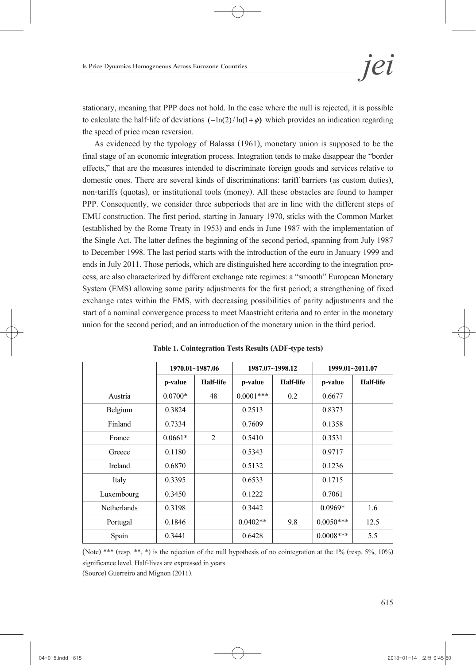stationary, meaning that PPP does not hold. In the case where the null is rejected, it is possible to calculate the half-life of deviations  $(-\ln(2)/\ln(1+\phi))$  which provides an indication regarding the speed of price mean reversion.

As evidenced by the typology of Balassa (1961), monetary union is supposed to be the final stage of an economic integration process. Integration tends to make disappear the "border effects," that are the measures intended to discriminate foreign goods and services relative to domestic ones. There are several kinds of discriminations: tariff barriers (as custom duties), non-tariffs (quotas), or institutional tools (money). All these obstacles are found to hamper PPP. Consequently, we consider three subperiods that are in line with the different steps of EMU construction. The first period, starting in January 1970, sticks with the Common Market (established by the Rome Treaty in 1953) and ends in June 1987 with the implementation of the Single Act. The latter defines the beginning of the second period, spanning from July 1987 to December 1998. The last period starts with the introduction of the euro in January 1999 and ends in July 2011. Those periods, which are distinguished here according to the integration pro- cess, are also characterized by different exchange rate regimes: a "smooth" European Monetary System (EMS) allowing some parity adjustments for the first period; a strengthening of fixed exchange rates within the EMS, with decreasing possibilities of parity adjustments and the start of a nominal convergence process to meet Maastricht criteria and to enter in the monetary union for the second period; and an introduction of the monetary union in the third period.

|             | 1970.01~1987.06 |                  |             | 1987.07~1998.12 |             | 1999.01~2011.07  |  |
|-------------|-----------------|------------------|-------------|-----------------|-------------|------------------|--|
|             | p-value         | <b>Half-life</b> | p-value     | Half-life       | p-value     | <b>Half-life</b> |  |
| Austria     | $0.0700*$       | 48               | $0.0001***$ | 0.2             | 0.6677      |                  |  |
| Belgium     | 0.3824          |                  | 0.2513      |                 | 0.8373      |                  |  |
| Finland     | 0.7334          |                  | 0.7609      |                 | 0.1358      |                  |  |
| France      | $0.0661*$       | 2                | 0.5410      |                 | 0.3531      |                  |  |
| Greece      | 0.1180          |                  | 0.5343      |                 | 0.9717      |                  |  |
| Ireland     | 0.6870          |                  | 0.5132      |                 | 0.1236      |                  |  |
| Italy       | 0.3395          |                  | 0.6533      |                 | 0.1715      |                  |  |
| Luxembourg  | 0.3450          |                  | 0.1222      |                 | 0.7061      |                  |  |
| Netherlands | 0.3198          |                  | 0.3442      |                 | $0.0969*$   | 1.6              |  |
| Portugal    | 0.1846          |                  | $0.0402**$  | 9.8             | $0.0050***$ | 12.5             |  |
| Spain       | 0.3441          |                  | 0.6428      |                 | $0.0008***$ | 5.5              |  |

**Table 1. Cointegration Tests Results (ADF-type tests)**

(Note) \*\*\* (resp. \*\*, \*) is the rejection of the null hypothesis of no cointegration at the 1% (resp. 5%, 10%) significance level. Half-lives are expressed in years.

(Source) Guerreiro and Mignon (2011).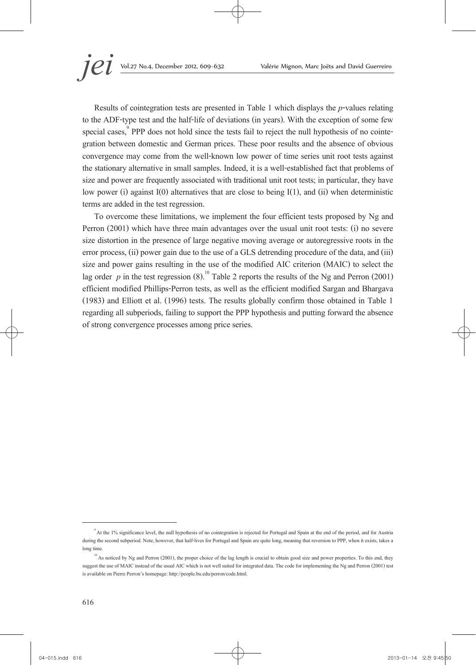Results of cointegration tests are presented in Table 1 which displays the *p*-values relating to the ADF-type test and the half-life of deviations (in years). With the exception of some few special cases,<sup>9</sup> PPP does not hold since the tests fail to reject the null hypothesis of no cointegration between domestic and German prices. These poor results and the absence of obvious convergence may come from the well-known low power of time series unit root tests against the stationary alternative in small samples. Indeed, it is a well-established fact that problems of size and power are frequently associated with traditional unit root tests; in particular, they have low power (i) against I(0) alternatives that are close to being I(1), and (ii) when deterministic terms are added in the test regression.

To overcome these limitations, we implement the four efficient tests proposed by Ng and Perron (2001) which have three main advantages over the usual unit root tests: (i) no severe size distortion in the presence of large negative moving average or autoregressive roots in the error process, (ii) power gain due to the use of a GLS detrending procedure of the data, and (iii) size and power gains resulting in the use of the modified AIC criterion (MAIC) to select the lag order  $p$  in the test regression (8).<sup>10</sup> Table 2 reports the results of the Ng and Perron (2001) efficient modified Phillips-Perron tests, as well as the efficient modified Sargan and Bhargava (1983) and Elliott et al. (1996) tests. The results globally confirm those obtained in Table 1 regarding all subperiods, failing to support the PPP hypothesis and putting forward the absence of strong convergence processes among price series.

<sup>9</sup> At the 1% significance level, the null hypothesis of no cointegration is rejected for Portugal and Spain at the end of the period, and for Austria during the second subperiod. Note, however, that half-lives for Portugal and Spain are quite long, meaning that reversion to PPP, when it exists, takes a long time.

<sup>&</sup>lt;sup>10</sup> As noticed by Ng and Perron (2001), the proper choice of the lag length is crucial to obtain good size and power properties. To this end, they suggest the use of MAIC instead of the usual AIC which is not well suited for integrated data. The code for implementing the Ng and Perron (2001) test is available on Pierre Perron's homepage: http://people.bu.edu/perron/code.html.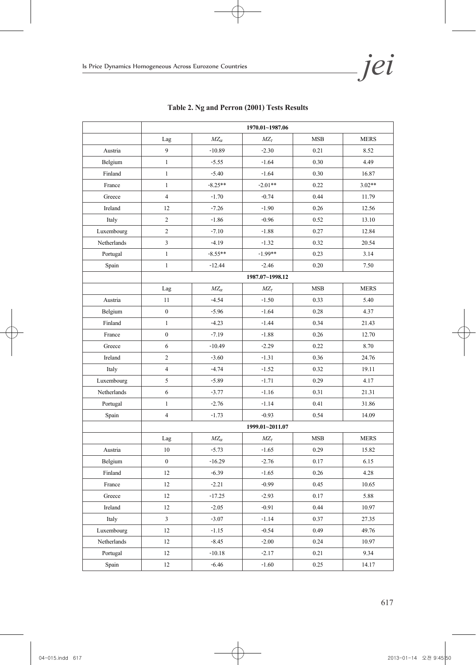**Jehrice Dynamics Homogeneous Across Eurozone Countries** 

|                | 1970.01~1987.06  |                 |                 |            |             |
|----------------|------------------|-----------------|-----------------|------------|-------------|
|                | Lag              | $M\!Z_{\alpha}$ | $MZ_{\tau}$     | <b>MSB</b> | <b>MERS</b> |
| Austria        | 9                | $-10.89$        | $-2.30$         | 0.21       | 8.52        |
| Belgium        | $\mathbf{1}$     | $-5.55$         | $-1.64$         | 0.30       | 4.49        |
| Finland        | $\mathbf{1}$     | $-5.40$         | $-1.64$         | 0.30       | 16.87       |
| France         | $\mathbf{1}$     | $-8.25**$       | $-2.01**$       | 0.22       | $3.02**$    |
| Greece         | $\overline{4}$   | $-1.70$         | $-0.74$         | 0.44       | 11.79       |
| Ireland        | 12               | $-7.26$         | $-1.90$         | 0.26       | 12.56       |
| Italy          | $\overline{c}$   | $-1.86$         | $-0.96$         | 0.52       | 13.10       |
| Luxembourg     | $\sqrt{2}$       | $-7.10$         | $-1.88$         | 0.27       | 12.84       |
| Netherlands    | $\sqrt{3}$       | $-4.19$         | $-1.32$         | 0.32       | 20.54       |
| Portugal       | $\mathbf{1}$     | $-8.55**$       | $-1.99**$       | 0.23       | 3.14        |
| Spain          | $\mathbf{1}$     | $-12.44$        | $-2.46$         | 0.20       | 7.50        |
|                |                  |                 | 1987.07~1998.12 |            |             |
|                | Lag              | $MZ_{\alpha}$   | $M\!Z_t$        | <b>MSB</b> | <b>MERS</b> |
| Austria        | 11               | $-4.54$         | $-1.50$         | 0.33       | 5.40        |
| Belgium        | $\boldsymbol{0}$ | $-5.96$         | $-1.64$         | 0.28       | 4.37        |
| Finland        | $\mathbf{1}$     | $-4.23$         | $-1.44$         | 0.34       | 21.43       |
| France         | $\boldsymbol{0}$ | $-7.19$         | $-1.88$         | 0.26       | 12.70       |
| Greece         | 6                | $-10.49$        | $-2.29$         | 0.22       | 8.70        |
| Ireland        | $\sqrt{2}$       | $-3.60$         | $-1.31$         | 0.36       | 24.76       |
| Italy          | $\overline{4}$   | $-4.74$         | $-1.52$         | 0.32       | 19.11       |
| Luxembourg     | $\sqrt{5}$       | $-5.89$         | $-1.71$         | 0.29       | 4.17        |
| Netherlands    | $\sqrt{6}$       | $-3.77$         | $-1.16$         | 0.31       | 21.31       |
| Portugal       | $\mathbf{1}$     | $-2.76$         | $-1.14$         | 0.41       | 31.86       |
| Spain          | $\overline{4}$   | $-1.73$         | $-0.93$         | 0.54       | 14.09       |
|                |                  |                 | 1999.01~2011.07 |            |             |
|                | Lag              | $MZ_{\alpha}$   | $MZ_{\tau}$     | <b>MSB</b> | <b>MERS</b> |
| Austria        | 10               | $-5.73$         | $-1.65$         | 0.29       | 15.82       |
| Belgium        | $\boldsymbol{0}$ | $-16.29$        | $-2.76$         | 0.17       | 6.15        |
| Finland        | 12               | $-6.39$         | $-1.65$         | 0.26       | 4.28        |
| France         | 12               | $-2.21$         | $-0.99$         | 0.45       | 10.65       |
| ${\rm Greece}$ | 12               | $-17.25$        | $-2.93$         | 0.17       | 5.88        |
| Ireland        | 12               | $-2.05$         | $-0.91$         | 0.44       | 10.97       |
| Italy          | $\mathfrak{Z}$   | $-3.07$         | $-1.14$         | 0.37       | 27.35       |
| Luxembourg     | 12               | $-1.15$         | $-0.54$         | 0.49       | 49.76       |
| Netherlands    | 12               | $-8.45$         | $-2.00$         | 0.24       | 10.97       |
| Portugal       | 12               | $-10.18$        | $-2.17$         | 0.21       | 9.34        |
| Spain          | 12               | $-6.46$         | $-1.60$         | 0.25       | 14.17       |

### **Table 2. Ng and Perron (2001) Tests Results**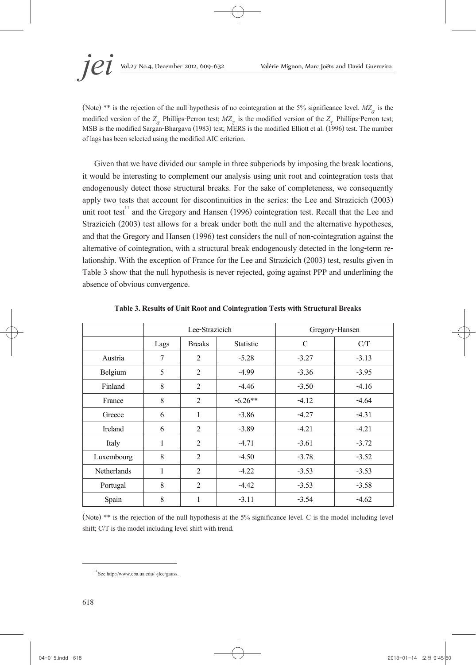(Note) \*\* is the rejection of the null hypothesis of no cointegration at the 5% significance level.  $MZ_{\alpha}$  is the modified version of the  $Z_{\alpha}$  Phillips-Perron test;  $MZ_{\tau}$  is the modified version of the  $Z_{\tau}$  Phillips-Perron test; MSB is the modified Sargan-Bhargava (1983) test; MERS is the modified Elliott et al. (1996) test. The number of lags has been selected using the modified AIC criterion.

Given that we have divided our sample in three subperiods by imposing the break locations, it would be interesting to complement our analysis using unit root and cointegration tests that endogenously detect those structural breaks. For the sake of completeness, we consequently apply two tests that account for discontinuities in the series: the Lee and Strazicich (2003) unit root test<sup>11</sup> and the Gregory and Hansen (1996) cointegration test. Recall that the Lee and Strazicich (2003) test allows for a break under both the null and the alternative hypotheses, and that the Gregory and Hansen (1996) test considers the null of non-cointegration against the alternative of cointegration, with a structural break endogenously detected in the long-term re- lationship. With the exception of France for the Lee and Strazicich (2003) test, results given in Table 3 show that the null hypothesis is never rejected, going against PPP and underlining the absence of obvious convergence.

|                    | Lee-Strazicich |                |                  |         | Gregory-Hansen |
|--------------------|----------------|----------------|------------------|---------|----------------|
|                    | Lags           | <b>Breaks</b>  | <b>Statistic</b> | C       | C/T            |
| Austria            | 7              | 2              | $-5.28$          | $-3.27$ | $-3.13$        |
| Belgium            | 5              | 2              | $-4.99$          | $-3.36$ | $-3.95$        |
| Finland            | 8              | $\overline{2}$ | $-4.46$          | $-3.50$ | $-4.16$        |
| France             | 8              | 2              | $-6.26**$        | $-4.12$ | $-4.64$        |
| Greece             | 6              | $\mathbf{1}$   | $-3.86$          | $-4.27$ | $-4.31$        |
| Ireland            | 6              | 2              | $-3.89$          | $-4.21$ | $-4.21$        |
| Italy              | $\mathbf{1}$   | 2              | $-4.71$          | $-3.61$ | $-3.72$        |
| Luxembourg         | 8              | 2              | $-4.50$          | $-3.78$ | $-3.52$        |
| <b>Netherlands</b> | 1              | 2              | $-4.22$          | $-3.53$ | $-3.53$        |
| Portugal           | 8              | 2              | $-4.42$          | $-3.53$ | $-3.58$        |
| Spain              | 8              | 1              | $-3.11$          | $-3.54$ | $-4.62$        |

**Table 3. Results of Unit Root and Cointegration Tests with Structural Breaks**

(Note) \*\* is the rejection of the null hypothesis at the 5% significance level. C is the model including level shift; C/T is the model including level shift with trend.

 $^{11}$  See http://www.cba.ua.edu/~jlee/gauss.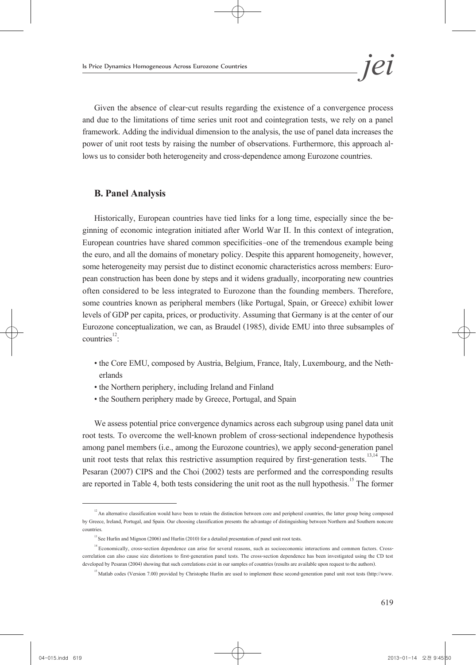Given the absence of clear-cut results regarding the existence of a convergence process and due to the limitations of time series unit root and cointegration tests, we rely on a panel framework. Adding the individual dimension to the analysis, the use of panel data increases the power of unit root tests by raising the number of observations. Furthermore, this approach al- lows us to consider both heterogeneity and cross-dependence among Eurozone countries.

### **B. Panel Analysis**

Historically, European countries have tied links for a long time, especially since the be-<br>ginning of economic integration initiated after World War II. In this context of integration, European countries have shared common specificities—one of the tremendous example being the euro, and all the domains of monetary policy. Despite this apparent homogeneity, however, some heterogeneity may persist due to distinct economic characteristics across members: Euro-<br>pean construction has been done by steps and it widens gradually, incorporating new countries often considered to be less integrated to Eurozone than the founding members. Therefore, some countries known as peripheral members (like Portugal, Spain, or Greece) exhibit lower levels of GDP per capita, prices, or productivity. Assuming that Germany is at the center of our Eurozone conceptualization, we can, as Braudel (1985), divide EMU into three subsamples of  $countries$ <sup>12</sup>: :

- the Core EMU, composed by Austria, Belgium, France, Italy, Luxembourg, and the Neth- erlands
- the Northern periphery, including Ireland and Finland
- the Southern periphery made by Greece, Portugal, and Spain

We assess potential price convergence dynamics across each subgroup using panel data unit root tests. To overcome the well-known problem of cross-sectional independence hypothesis among panel members (i.e., among the Eurozone countries), we apply second-generation panel unit root tests that relax this restrictive assumption required by first-generation tests.<sup>13,14</sup> The Pesaran (2007) CIPS and the Choi (2002) tests are performed and the corresponding results are reported in Table 4, both tests considering the unit root as the null hypothesis.<sup>15</sup> The former

<sup>&</sup>lt;sup>12</sup> An alternative classification would have been to retain the distinction between core and peripheral countries, the latter group being composed by Greece, Ireland, Portugal, and Spain. Our choosing classification presents the advantage of distinguishing between Northern and Southern noncore countries.

<sup>&</sup>lt;sup>13</sup> See Hurlin and Mignon (2006) and Hurlin (2010) for a detailed presentation of panel unit root tests.

<sup>&</sup>lt;sup>14</sup> Economically, cross-section dependence can arise for several reasons, such as socioeconomic interactions and common factors. Crosscorrelation can also cause size distortions to first-generation panel tests. The cross-section dependence has been investigated using the CD test developed by Pesaran (2004) showing that such correlations exist in our samples of countries (results are available upon request to the authors).

<sup>&</sup>lt;sup>15</sup> Matlab codes (Version 7.00) provided by Christophe Hurlin are used to implement these second-generation panel unit root tests (http://www.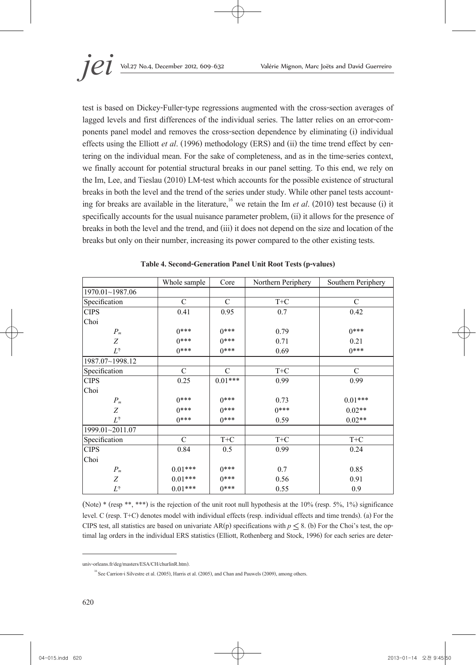test is based on Dickey-Fuller-type regressions augmented with the cross-section averages of lagged levels and first differences of the individual series. The latter relies on an error-com-<br>ponents panel model and removes the cross-section dependence by eliminating (i) individual effects using the Elliott *et al.* (1996) methodology (ERS) and (ii) the time trend effect by centering on the individual mean. For the sake of completeness, and as in the time-series context, we finally account for potential structural breaks in our panel setting. To this end, we rely on the Im, Lee, and Tieslau (2010) LM-test which accounts for the possible existence of structural breaks in both the level and the trend of the series under study. While other panel tests account-<br>ing for breaks are available in the literature,<sup>16</sup> we retain the Im *et al.* (2010) test because (i) it specifically accounts for the usual nuisance parameter problem, (ii) it allows for the presence of breaks in both the level and the trend, and (iii) it does not depend on the size and location of the breaks but only on their number, increasing its power compared to the other existing tests.

|                   | Whole sample  | Core          | Northern Periphery | Southern Periphery |
|-------------------|---------------|---------------|--------------------|--------------------|
| 1970.01~1987.06   |               |               |                    |                    |
| Specification     | $\mathcal{C}$ | $\mathcal{C}$ | $T+C$              | $\mathcal{C}$      |
| <b>CIPS</b>       | 0.41          | 0.95          | 0.7                | 0.42               |
| Choi              |               |               |                    |                    |
| $P_m$             | $0***$        | $0***$        | 0.79               | $0***$             |
| Z                 | $0***$        | $0***$        | 0.71               | 0.21               |
| $L^\circledast$   | $0***$        | $0***$        | 0.69               | $0***$             |
| 1987.07~1998.12   |               |               |                    |                    |
| Specification     | $\mathcal{C}$ | $\mathcal{C}$ | $T+C$              | $\mathcal{C}$      |
| <b>CIPS</b>       | 0.25          | $0.01***$     | 0.99               | 0.99               |
| Choi              |               |               |                    |                    |
| $P_m$             | $0***$        | $0***$        | 0.73               | $0.01***$          |
| Ζ                 | $0***$        | $0***$        | $0***$             | $0.02**$           |
| $L^{\circledast}$ | $0***$        | $0***$        | 0.59               | $0.02**$           |
| 1999.01~2011.07   |               |               |                    |                    |
| Specification     | $\mathcal{C}$ | $T+C$         | $T+C$              | $T+C$              |
| <b>CIPS</b>       | 0.84          | 0.5           | 0.99               | 0.24               |
| Choi              |               |               |                    |                    |
| $P_m$             | $0.01***$     | $0***$        | 0.7                | 0.85               |
| Ζ                 | $0.01***$     | $0***$        | 0.56               | 0.91               |
| $L^\circledast$   | $0.01***$     | $0***$        | 0.55               | 0.9                |

(Note) \* (resp \*\*, \*\*\*) is the rejection of the unit root null hypothesis at the 10% (resp. 5%, 1%) significance level. C (resp. T+C) denotes model with individual effects (resp. individual effects and time trends). (a) For the CIPS test, all statistics are based on univariate AR(p) specifications with  $p \le 8$ . (b) For the Choi's test, the optimal lag orders in the individual ERS statistics (Elliott, Rothenberg and Stock, 1996) for each series a

univ-orleans.fr/deg/masters/ESA/CH/churlinR.htm).

<sup>&</sup>lt;sup>16</sup> See Carrion-i Silvestre et al. (2005), Harris et al. (2005), and Chan and Pauwels (2009), among others.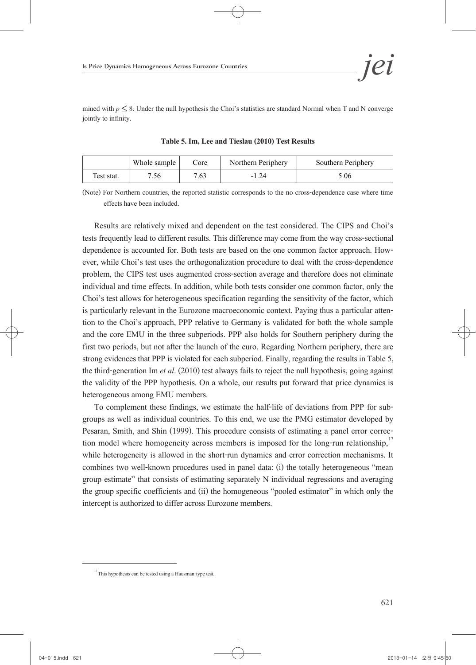mined with  $p \leq 8$ . Under the null hypothesis the Choi's statistics are standard Normal when T and N converge jointly to infinity.

|            | Whole sample | Core | Northern Periphery | Southern Periphery |
|------------|--------------|------|--------------------|--------------------|
| Test stat. | 7.56         | 7.63 | $-1.24$            | 5.06               |

**Table 5. Im, Lee and Tieslau (2010) Test Results**

(Note) For Northern countries, the reported statistic corresponds to the no cross-dependence case where time effects have been included.

Results are relatively mixed and dependent on the test considered. The CIPS and Choi's tests frequently lead to different results. This difference may come from the way cross-sectional dependence is accounted for. Both tests are based on the one common factor approach. How- ever, while Choi's test uses the orthogonalization procedure to deal with the cross-dependence problem, the CIPS test uses augmented cross-section average and therefore does not eliminate individual and time effects. In addition, while both tests consider one common factor, only the Choi's test allows for heterogeneous specification regarding the sensitivity of the factor, which is particularly relevant in the Eurozone macroeconomic context. Paying thus a particular atten- tion to the Choi's approach, PPP relative to Germany is validated for both the whole sample and the core EMU in the three subperiods. PPP also holds for Southern periphery during the first two periods, but not after the launch of the euro. Regarding Northern periphery, there are strong evidences that PPP is violated for each subperiod. Finally, regarding the results in Table 5, the third-generation Im *et al*. (2010) test always fails to reject the null hypothesis, going against the validity of the PPP hypothesis. On a whole, our results put forward that price dynamics is heterogeneous among EMU members.

To complement these findings, we estimate the half-life of deviations from PPP for sub- groups as well as individual countries. To this end, we use the PMG estimator developed by Pesaran, Smith, and Shin (1999). This procedure consists of estimating a panel error correction model where homogeneity across members is imposed for the long-run relationship,<sup>17</sup> while heterogeneity is allowed in the short-run dynamics and error correction mechanisms. It combines two well-known procedures used in panel data: (i) the totally heterogeneous "mean group estimate" that consists of estimating separately N individual regressions and averaging the group specific coefficients and (ii) the homogeneous "pooled estimator" in which only the intercept is authorized to differ across Eurozone members.

<sup>&</sup>lt;sup>17</sup> This hypothesis can be tested using a Hausman-type test.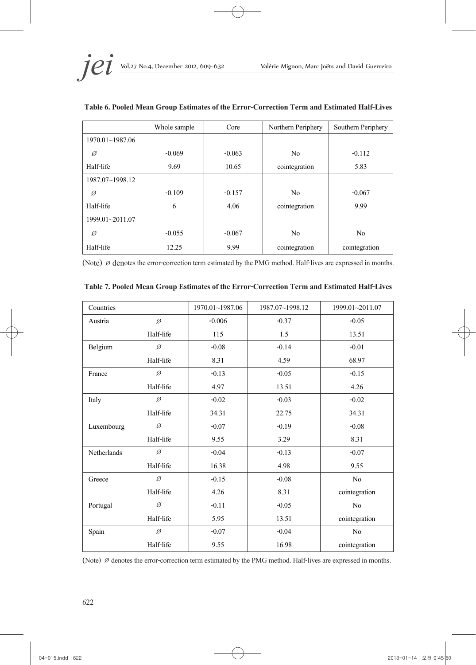

|                 | Whole sample | Core     | Northern Periphery | Southern Periphery |
|-----------------|--------------|----------|--------------------|--------------------|
| 1970.01~1987.06 |              |          |                    |                    |
| Ø               | $-0.069$     | $-0.063$ | N <sub>0</sub>     | $-0.112$           |
| Half-life       | 9.69         | 10.65    | cointegration      | 5.83               |
| 1987.07~1998.12 |              |          |                    |                    |
| Ø               | $-0.109$     | $-0.157$ | N <sub>0</sub>     | $-0.067$           |
| Half-life       | 6            | 4.06     | cointegration      | 9.99               |
| 1999.01~2011.07 |              |          |                    |                    |
| Ø               | $-0.055$     | $-0.067$ | N <sub>0</sub>     | N <sub>0</sub>     |
| Half-life       | 12.25        | 9.99     | cointegration      | cointegration      |

### **Table 6. Pooled Mean Group Estimates of the Error-Correction Term and Estimated Half-Lives**

(Note)  $\varnothing$  denotes the error-correction term estimated by the PMG method. Half-lives are expressed in months.

| Countries          |           | 1970.01~1987.06 | 1987.07~1998.12 | 1999.01~2011.07 |
|--------------------|-----------|-----------------|-----------------|-----------------|
| Austria            | Ø         | $-0.006$        | $-0.37$         | $-0.05$         |
|                    | Half-life | 115             | 1.5             | 13.51           |
| Belgium            | Ø         | $-0.08$         | $-0.14$         | $-0.01$         |
|                    | Half-life | 8.31            | 4.59            | 68.97           |
| France             | Ø         | $-0.13$         | $-0.05$         | $-0.15$         |
|                    | Half-life | 4.97            | 13.51           | 4.26            |
| Italy              | Ø         | $-0.02$         | $-0.03$         | $-0.02$         |
|                    | Half-life | 34.31           | 22.75           | 34.31           |
| Luxembourg         | Ø         | $-0.07$         | $-0.19$         | $-0.08$         |
|                    | Half-life | 9.55            | 3.29            | 8.31            |
| <b>Netherlands</b> | Ø         | $-0.04$         | $-0.13$         | $-0.07$         |
|                    | Half-life | 16.38           | 4.98            | 9.55            |
| Greece             | Ø         | $-0.15$         | $-0.08$         | No              |
|                    | Half-life | 4.26            | 8.31            | cointegration   |
| Portugal           | Ø         | $-0.11$         | $-0.05$         | No              |
|                    | Half-life | 5.95            | 13.51           | cointegration   |
| Spain              | Ø         | $-0.07$         | $-0.04$         | No              |
|                    | Half-life | 9.55            | 16.98           | cointegration   |

#### **Table 7. Pooled Mean Group Estimates of the Error-Correction Term and Estimated Half-Lives**

(Note)  $\varnothing$  denotes the error-correction term estimated by the PMG method. Half-lives are expressed in months.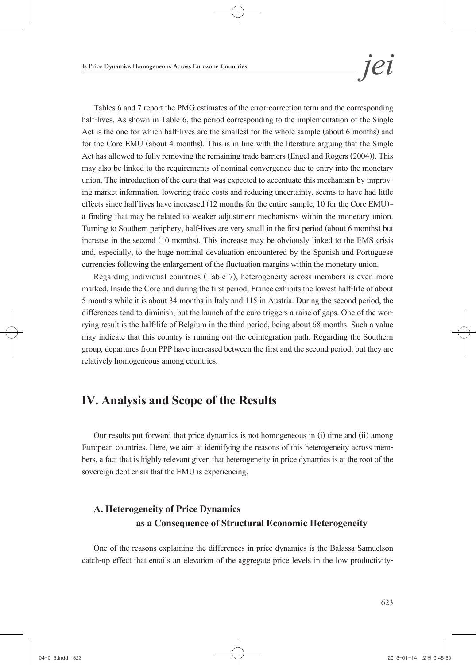Tables 6 and 7 report the PMG estimates of the error-correction term and the corresponding half-lives. As shown in Table 6, the period corresponding to the implementation of the Single Act is the one for which half-lives are the smallest for the whole sample (about 6 months) and for the Core EMU (about 4 months). This is in line with the literature arguing that the Single Act has allowed to fully removing the remaining trade barriers (Engel and Rogers (2004)). This may also be linked to the requirements of nominal convergence due to entry into the monetary union. The introduction of the euro that was expected to accentuate this mechanism by improv- ing market information, lowering trade costs and reducing uncertainty, seems to have had little effects since half lives have increased (12 months for the entire sample, 10 for the Core EMU)— a finding that may be related to weaker adjustment mechanisms within the monetary union. Turning to Southern periphery, half-lives are very small in the first period (about 6 months) but increase in the second (10 months). This increase may be obviously linked to the EMS crisis and, especially, to the huge nominal devaluation encountered by the Spanish and Portuguese currencies following the enlargement of the fluctuation margins within the monetary union.

Regarding individual countries (Table 7), heterogeneity across members is even more marked. Inside the Core and during the first period, France exhibits the lowest half-life of about 5 months while it is about 34 months in Italy and 115 in Austria. During the second period, the differences tend to diminish, but the launch of the euro triggers a raise of gaps. One of the wor-<br>rying result is the half-life of Belgium in the third period, being about 68 months. Such a value may indicate that this country is running out the cointegration path. Regarding the Southern group, departures from PPP have increased between the first and the second period, but they are relatively homogeneous among countries.

# **IV. Analysis and Scope of the Results**

Our results put forward that price dynamics is not homogeneous in (i) time and (ii) among European countries. Here, we aim at identifying the reasons of this heterogeneity across mem- bers, a fact that is highly relevant given that heterogeneity in price dynamics is at the root of the sovereign debt crisis that the EMU is experiencing.

# **A. Heterogeneity of Price Dynamics as a Consequence of Structural Economic Heterogeneity**

One of the reasons explaining the differences in price dynamics is the Balassa-Samuelson catch-up effect that entails an elevation of the aggregate price levels in the low productivity-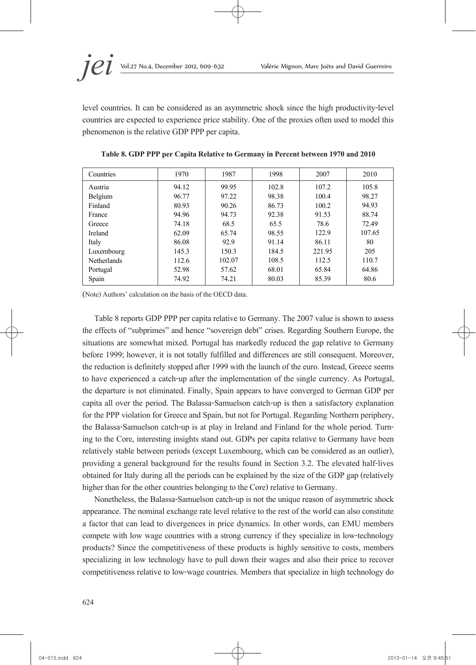

level countries. It can be considered as an asymmetric shock since the high productivity-level countries are expected to experience price stability. One of the proxies often used to model this phenomenon is the relative GDP PPP per capita.

| Countries          | 1970  | 1987   | 1998  | 2007   | 2010   |
|--------------------|-------|--------|-------|--------|--------|
| Austria            | 94.12 | 99.95  | 102.8 | 107.2  | 105.8  |
| Belgium            | 96.77 | 97.22  | 98.38 | 100.4  | 98.27  |
| Finland            | 80.93 | 90.26  | 86.73 | 100.2  | 94.93  |
| France             | 94.96 | 94.73  | 92.38 | 91.53  | 88.74  |
| Greece             | 74.18 | 68.5   | 65.5  | 78.6   | 72.49  |
| Ireland            | 62.09 | 65.74  | 98.55 | 122.9  | 107.65 |
| Italy              | 86.08 | 92.9   | 91.14 | 86.11  | 80     |
| Luxembourg         | 145.3 | 150.3  | 184.5 | 221.95 | 205    |
| <b>Netherlands</b> | 112.6 | 102.07 | 108.5 | 112.5  | 110.7  |
| Portugal           | 52.98 | 57.62  | 68.01 | 65.84  | 64.86  |
| Spain              | 74.92 | 74.21  | 80.03 | 85.39  | 80.6   |

**Table 8. GDP PPP per Capita Relative to Germany in Percent between 1970 and 2010**

(Note) Authors' calculation on the basis of the OECD data.

Table 8 reports GDP PPP per capita relative to Germany. The 2007 value is shown to assess the effects of "subprimes" and hence "sovereign debt" crises. Regarding Southern Europe, the situations are somewhat mixed. Portugal has markedly reduced the gap relative to Germany before 1999; however, it is not totally fulfilled and differences are still consequent. Moreover, the reduction is definitely stopped after 1999 with the launch of the euro. Instead, Greece seems to have experienced a catch-up after the implementation of the single currency. As Portugal, the departure is not eliminated. Finally, Spain appears to have converged to German GDP per capita all over the period. The Balassa-Samuelson catch-up is then a satisfactory explanation for the PPP violation for Greece and Spain, but not for Portugal. Regarding Northern periphery, the Balassa-Samuelson catch-up is at play in Ireland and Finland for the whole period. Turn-<br>ing to the Core, interesting insights stand out. GDPs per capita relative to Germany have been relatively stable between periods (except Luxembourg, which can be considered as an outlier), providing a general background for the results found in Section 3.2. The elevated half-lives obtained for Italy during all the periods can be explained by the size of the GDP gap (relatively higher than for the other countries belonging to the Core) relative to Germany.

Nonetheless, the Balassa-Samuelson catch-up is not the unique reason of asymmetric shock appearance. The nominal exchange rate level relative to the rest of the world can also constitute a factor that can lead to divergences in price dynamics. In other words, can EMU members compete with low wage countries with a strong currency if they specialize in low-technology products? Since the competitiveness of these products is highly sensitive to costs, members specializing in low technology have to pull down their wages and also their price to recover competitiveness relative to low-wage countries. Members that specialize in high technology do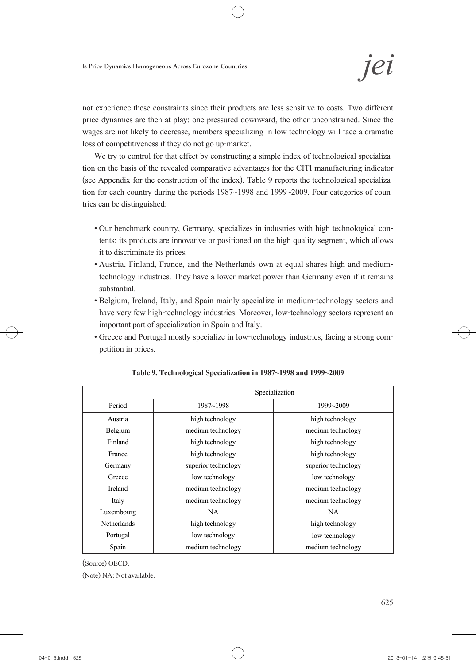not experience these constraints since their products are less sensitive to costs. Two different price dynamics are then at play: one pressured downward, the other unconstrained. Since the wages are not likely to decrease, members specializing in low technology will face a dramatic loss of competitiveness if they do not go up-market.

We try to control for that effect by constructing a simple index of technological specializa- tion on the basis of the revealed comparative advantages for the CITI manufacturing indicator (see Appendix for the construction of the index). Table 9 reports the technological specializa- tion for each country during the periods 1987~1998 and 1999~2009. Four categories of coun- tries can be distinguished:

- Our benchmark country, Germany, specializes in industries with high technological con- tents: its products are innovative or positioned on the high quality segment, which allows it to discriminate its prices.
- Austria, Finland, France, and the Netherlands own at equal shares high and mediumtechnology industries. They have a lower market power than Germany even if it remains substantial.
- Belgium, Ireland, Italy, and Spain mainly specialize in medium-technology sectors and have very few high-technology industries. Moreover, low-technology sectors represent an important part of specialization in Spain and Italy.
- Greece and Portugal mostly specialize in low-technology industries, facing a strong com- petition in prices.

|                    |                                        | Specialization      |
|--------------------|----------------------------------------|---------------------|
| Period             | $1987 - 1998$                          | 1999~2009           |
| Austria            | high technology                        | high technology     |
| Belgium            | medium technology                      | medium technology   |
| Finland            | high technology                        | high technology     |
| France             | high technology                        | high technology     |
| Germany            | superior technology                    | superior technology |
| Greece             | low technology<br>low technology       |                     |
| Ireland            | medium technology<br>medium technology |                     |
| Italy              | medium technology                      | medium technology   |
| Luxembourg         | <b>NA</b>                              | <b>NA</b>           |
| <b>Netherlands</b> | high technology                        | high technology     |
| Portugal           | low technology                         | low technology      |
| Spain              | medium technology                      | medium technology   |

| Table 9. Technological Specialization in 1987~1998 and 1999~2009 |  |
|------------------------------------------------------------------|--|
|------------------------------------------------------------------|--|

(Source) OECD. (Note) NA: Not available.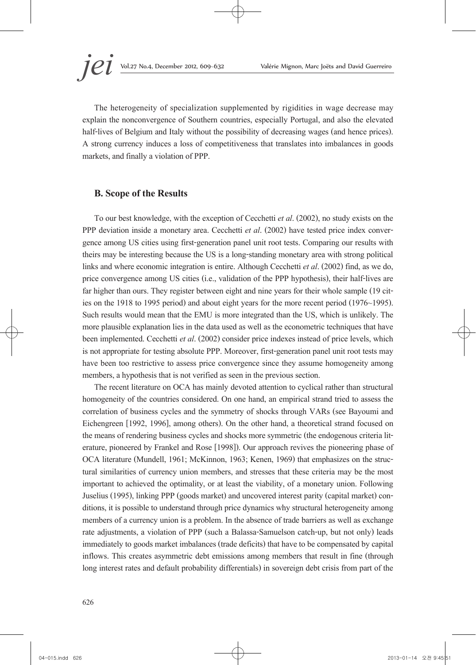The heterogeneity of specialization supplemented by rigidities in wage decrease may explain the nonconvergence of Southern countries, especially Portugal, and also the elevated half-lives of Belgium and Italy without the possibility of decreasing wages (and hence prices). A strong currency induces a loss of competitiveness that translates into imbalances in goods markets, and finally a violation of PPP.

### **B. Scope of the Results**

To our best knowledge, with the exception of Cecchetti *et al*. (2002), no study exists on the PPP deviation inside a monetary area. Cecchetti *et al.* (2002) have tested price index conver-<br>gence among US cities using first-generation panel unit root tests. Comparing our results with theirs may be interesting because the US is a long-standing monetary area with strong political links and where economic integration is entire. Although Cecchetti *et al*. (2002) find, as we do, price convergence among US cities (i.e., validation of the PPP hypothesis), their half-lives are far higher than ours. They register between eight and nine years for their whole sample (19 cit-<br>ies on the 1918 to 1995 period) and about eight years for the more recent period (1976~1995). Such results would mean that the EMU is more integrated than the US, which is unlikely. The more plausible explanation lies in the data used as well as the econometric techniques that have been implemented. Cecchetti *et al*. (2002) consider price indexes instead of price levels, which is not appropriate for testing absolute PPP. Moreover, first-generation panel unit root tests may have been too restrictive to assess price convergence since they assume homogeneity among members, a hypothesis that is not verified as seen in the previous section.

The recent literature on OCA has mainly devoted attention to cyclical rather than structural homogeneity of the countries considered. On one hand, an empirical strand tried to assess the correlation of business cycles and the symmetry of shocks through VARs (see Bayoumi and Eichengreen [1992, 1996], among others). On the other hand, a theoretical strand focused on the means of rendering business cycles and shocks more symmetric (the endogenous criteria lit- erature, pioneered by Frankel and Rose [1998]). Our approach revives the pioneering phase of OCA literature (Mundell, 1961; McKinnon, 1963; Kenen, 1969) that emphasizes on the struc- tural similarities of currency union members, and stresses that these criteria may be the most important to achieved the optimality, or at least the viability, of a monetary union. Following Juselius (1995), linking PPP (goods market) and uncovered interest parity (capital market) con- ditions, it is possible to understand through price dynamics why structural heterogeneity among members of a currency union is a problem. In the absence of trade barriers as well as exchange rate adjustments, a violation of PPP (such a Balassa-Samuelson catch-up, but not only) leads immediately to goods market imbalances (trade deficits) that have to be compensated by capital inflows. This creates asymmetric debt emissions among members that result in fine (through long interest rates and default probability differentials) in sovereign debt crisis from part of the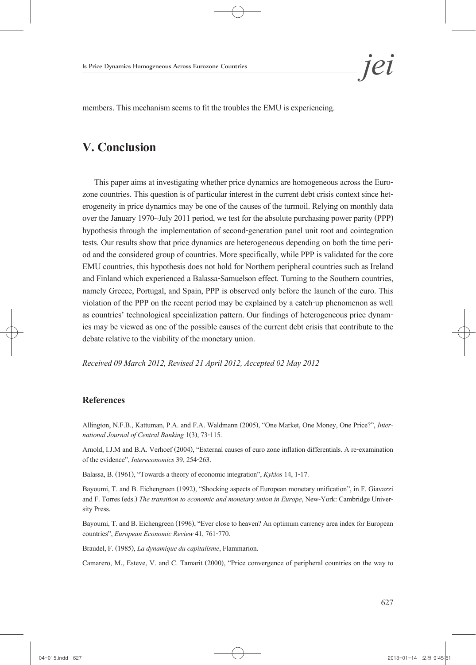

# **V. Conclusion**

This paper aims at investigating whether price dynamics are homogeneous across the Euro-<br>zone countries. This question is of particular interest in the current debt crisis context since het-<br>erogeneity in price dynamics ma over the January 1970~July 2011 period, we test for the absolute purchasing power parity (PPP) hypothesis through the implementation of second-generation panel unit root and cointegration tests. Our results show that price dynamics are heterogeneous depending on both the time peri- od and the considered group of countries. More specifically, while PPP is validated for the core EMU countries, this hypothesis does not hold for Northern peripheral countries such as Ireland and Finland which experienced a Balassa-Samuelson effect. Turning to the Southern countries, namely Greece, Portugal, and Spain, PPP is observed only before the launch of the euro. This violation of the PPP on the recent period may be explained by a catch-up phenomenon as well as countries' technological specialization pattern. Our findings of heterogeneous price dynam- ics may be viewed as one of the possible causes of the current debt crisis that contribute to the debate relative to the viability of the monetary union.

*Received 09 March 2012, Revised 21 April 2012, Accepted 02 May 2012* 

#### **References**

Allington, N.F.B., Kattuman, P.A. and F.A. Waldmann (2005), "One Market, One Money, One Price?", *Inter- national Journal of Central Banking* 1(3), 73-115.

Arnold, I.J.M and B.A. Verhoef (2004), "External causes of euro zone inflation differentials. A re-examination of the evidence", *Intereconomics* 39, 254-263.

Balassa, B. (1961), "Towards a theory of economic integration", *Kyklos* 14, 1-17.

Bayoumi, T. and B. Eichengreen (1992), "Shocking aspects of European monetary unification", in F. Giavazzi and F. Torres (eds.) *The transition to economic and monetary union in Europe*, New-York: Cambridge University Press.

Bayoumi, T. and B. Eichengreen (1996), "Ever close to heaven? An optimum currency area index for European countries", *European Economic Review* 41, 761-770.

Braudel, F. (1985), *La dynamique du capitalisme*, Flammarion.

Camarero, M., Esteve, V. and C. Tamarit (2000), "Price convergence of peripheral countries on the way to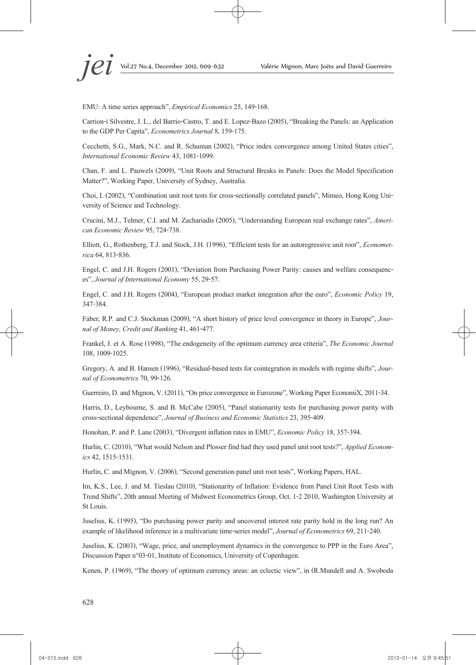EMU: A time series approach", *Empirical Economics* 25, 149-168.

Carrion-i Silvestre, J. L., del Barrio-Castro, T. and E. Lopez-Bazo (2005), "Breaking the Panels: an Application to the GDP Per Capita", *Econometrics Journal* 8, 159-175.

Cecchetti, S.G., Mark, N.C. and R. Schuman (2002), "Price index convergence among United States cities", *International Economic Review* 43, 1081-1099.

Chan, F. and L. Pauwels (2009), "Unit Roots and Structural Breaks in Panels: Does the Model Specification Matter?", Working Paper, University of Sydney, Australia.

Choi, I. (2002), "Combination unit root tests for cross-sectionally correlated panels", Mimeo, Hong Kong Uni- versity of Science and Technology.

Crucini, M.J., Telmer, C.I. and M. Zachariadis (2005), "Understanding European real exchange rates", *Ameri- can Economic Review* 95, 724-738.

Elliott, G., Rothenberg, T.J. and Stock, J.H. (1996), "Efficient tests for an autoregressive unit root", *Economet- rica* 64, 813-836.

Engel, C. and J.H. Rogers (2001), "Deviation from Purchasing Power Parity: causes and welfare consequenc- es", *Journal of International Economy* 55, 29-57.

Engel, C. and J.H. Rogers (2004), "European product market integration after the euro", *Economic Policy* 19, 347-384.

Faber, R.P. and C.J. Stockman (2009), "A short history of price level convergence in theory in Europe", *Jour- nal of Money, Credit and Banking* 41, 461-477.

Frankel, J. et A. Rose (1998), "The endogeneity of the optimum currency area criteria", *The Economic Journal* 108, 1009-1025.

Gregory, A. and B. Hansen (1996), "Residual-based tests for cointegration in models with regime shifts", *Jour- nal of Econometrics* 70, 99-126.

Guerreiro, D. and Mignon, V. (2011), "On price convergence in Eurozone", Working Paper EconomiX, 2011-34.

Harris, D., Leybourne, S. and B. McCabe (2005), "Panel stationarity tests for purchasing power parity with cross-sectional dependence", *Journal of Business and Economic Statistics* 23, 395-409.

Honohan, P. and P. Lane (2003), "Divergent inflation rates in EMU", *Economic Policy* 18, 357-394.

Hurlin, C. (2010), "What would Nelson and Plosser find had they used panel unit root tests?", *Applied Econom- ics* 42, 1515-1531.

Hurlin, C. and Mignon, V. (2006), "Second generation panel unit root tests", Working Papers, HAL.

Im, K.S., Lee, J. and M. Tieslau (2010), "Stationarity of Inflation: Evidence from Panel Unit Root Tests with Trend Shifts", 20th annual Meeting of Midwest Econometrics Group, Oct. 1-2 2010, Washington University at St Louis.

Juselius, K. (1995), "Do purchasing power parity and uncovered interest rate parity hold in the long run? An example of likelihood inference in a multivariate time-series model", *Journal of Econometrics* 69, 211-240.

Juselius, K. (2003), "Wage, price, and unemployment dynamics in the convergence to PPP in the Euro Area", Discussion Paper n°03-01, Institute of Economics, University of Copenhagen.

Kenen, P. (1969), "The theory of optimum currency areas: an eclectic view", in (R.Mundell and A. Swoboda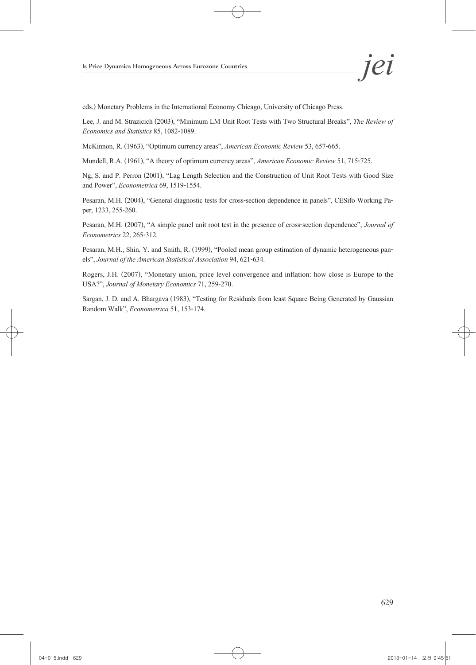eds.) Monetary Problems in the International Economy Chicago, University of Chicago Press.

Lee, J. and M. Strazicich (2003), "Minimum LM Unit Root Tests with Two Structural Breaks", *The Review of Economics and Statistics* 85, 1082-1089.

McKinnon, R. (1963), "Optimum currency areas", *American Economic Review* 53, 657-665.

Mundell, R.A. (1961), "A theory of optimum currency areas", *American Economic Review* 51, 715-725.

Ng, S. and P. Perron (2001), "Lag Length Selection and the Construction of Unit Root Tests with Good Size and Power", *Econometrica* 69, 1519-1554.

Pesaran, M.H. (2004), "General diagnostic tests for cross-section dependence in panels", CESifo Working Pa- per, 1233, 255-260.

Pesaran, M.H. (2007), "A simple panel unit root test in the presence of cross-section dependence", *Journal of Econometrics* 22, 265-312.

Pesaran, M.H., Shin, Y. and Smith, R. (1999), "Pooled mean group estimation of dynamic heterogeneous pan- els", *Journal of the American Statistical Association* 94, 621-634.

Rogers, J.H. (2007), "Monetary union, price level convergence and inflation: how close is Europe to the USA?", *Journal of Monetary Economics* 71, 259-270.

Sargan, J. D. and A. Bhargava (1983), "Testing for Residuals from least Square Being Generated by Gaussian Random Walk", *Econometrica* 51, 153-174.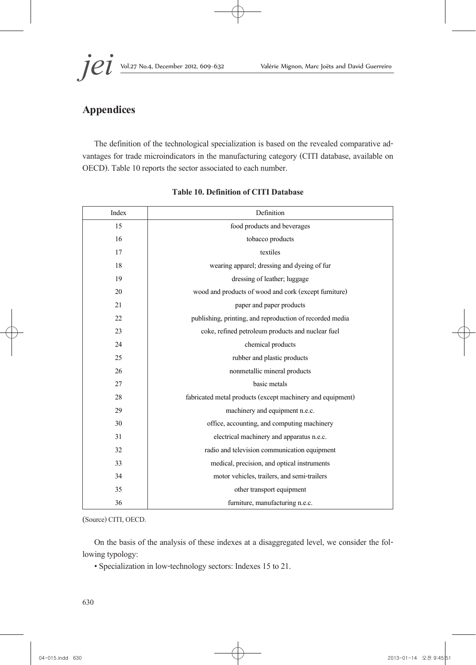# **Appendices**

The definition of the technological specialization is based on the revealed comparative ad- vantages for trade microindicators in the manufacturing category (CITI database, available on OECD). Table 10 reports the sector associated to each number.

| Index | Definition                                                 |
|-------|------------------------------------------------------------|
| 15    | food products and beverages                                |
| 16    | tobacco products                                           |
| 17    | textiles                                                   |
| 18    | wearing apparel; dressing and dyeing of fur                |
| 19    | dressing of leather; luggage                               |
| 20    | wood and products of wood and cork (except furniture)      |
| 21    | paper and paper products                                   |
| 22    | publishing, printing, and reproduction of recorded media   |
| 23    | coke, refined petroleum products and nuclear fuel          |
| 24    | chemical products                                          |
| 25    | rubber and plastic products                                |
| 26    | nonmetallic mineral products                               |
| 27    | basic metals                                               |
| 28    | fabricated metal products (except machinery and equipment) |
| 29    | machinery and equipment n.e.c.                             |
| 30    | office, accounting, and computing machinery                |
| 31    | electrical machinery and apparatus n.e.c.                  |
| 32    | radio and television communication equipment               |
| 33    | medical, precision, and optical instruments                |
| 34    | motor vehicles, trailers, and semi-trailers                |
| 35    | other transport equipment                                  |
| 36    | furniture, manufacturing n.e.c.                            |

#### **Table 10. Definition of CITI Database**

(Source) CITI, OECD.

On the basis of the analysis of these indexes at a disaggregated level, we consider the fol- lowing typology:

• Specialization in low-technology sectors: Indexes 15 to 21.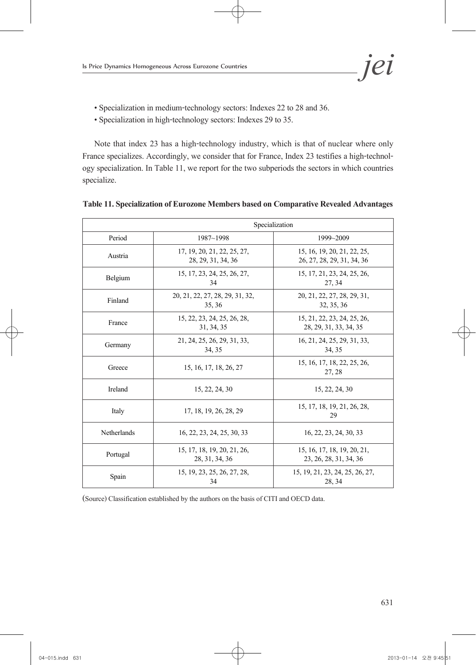- Specialization in medium-technology sectors: Indexes 22 to 28 and 36.
- Specialization in high-technology sectors: Indexes 29 to 35.

Note that index 23 has a high-technology industry, which is that of nuclear where only France specializes. Accordingly, we consider that for France, Index 23 testifies a high-technol-<br>ogy specialization. In Table 11, we report for the two subperiods the sectors in which countries specialize.

|                    | Specialization                                    |                                                           |
|--------------------|---------------------------------------------------|-----------------------------------------------------------|
| Period             | $1987 - 1998$                                     | 1999~2009                                                 |
| Austria            | 17, 19, 20, 21, 22, 25, 27,<br>28, 29, 31, 34, 36 | 15, 16, 19, 20, 21, 22, 25,<br>26, 27, 28, 29, 31, 34, 36 |
| Belgium            | 15, 17, 23, 24, 25, 26, 27,<br>34                 | 15, 17, 21, 23, 24, 25, 26,<br>27, 34                     |
| Finland            | 20, 21, 22, 27, 28, 29, 31, 32,<br>35.36          | 20, 21, 22, 27, 28, 29, 31,<br>32, 35, 36                 |
| France             | 15, 22, 23, 24, 25, 26, 28,<br>31, 34, 35         | 15, 21, 22, 23, 24, 25, 26,<br>28, 29, 31, 33, 34, 35     |
| Germany            | 21, 24, 25, 26, 29, 31, 33,<br>34, 35             | 16, 21, 24, 25, 29, 31, 33,<br>34, 35                     |
| Greece             | 15, 16, 17, 18, 26, 27                            | 15, 16, 17, 18, 22, 25, 26,<br>27, 28                     |
| Ireland            | 15, 22, 24, 30                                    | 15, 22, 24, 30                                            |
| Italy              | 17, 18, 19, 26, 28, 29                            | 15, 17, 18, 19, 21, 26, 28,<br>29                         |
| <b>Netherlands</b> | 16, 22, 23, 24, 25, 30, 33                        | 16, 22, 23, 24, 30, 33                                    |
| Portugal           | 15, 17, 18, 19, 20, 21, 26,<br>28, 31, 34, 36     | 15, 16, 17, 18, 19, 20, 21,<br>23, 26, 28, 31, 34, 36     |
| Spain              | 15, 19, 23, 25, 26, 27, 28,<br>34                 | 15, 19, 21, 23, 24, 25, 26, 27,<br>28, 34                 |

#### **Table 11. Specialization of Eurozone Members based on Comparative Revealed Advantages**

(Source) Classification established by the authors on the basis of CITI and OECD data.